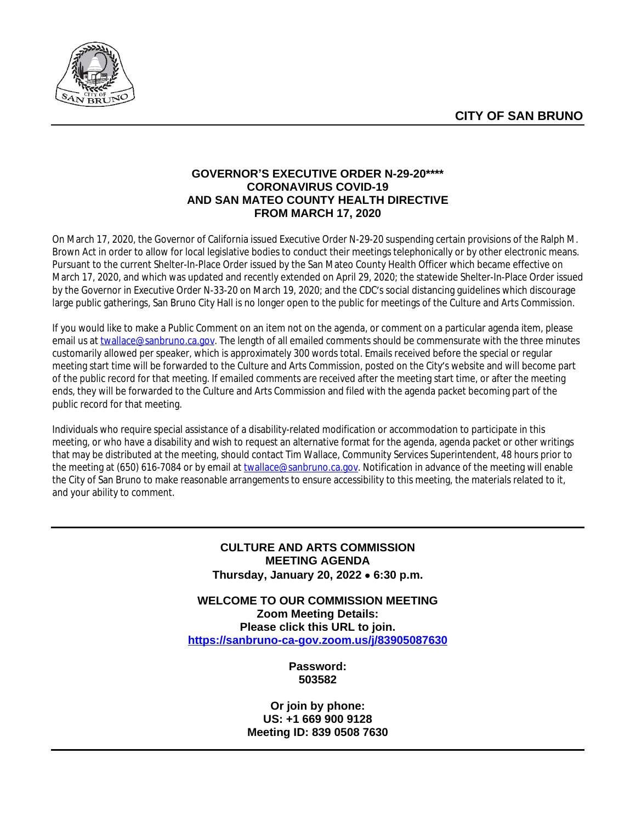

#### **GOVERNOR'S EXECUTIVE ORDER N-29-20\*\*\*\* CORONAVIRUS COVID-19 AND SAN MATEO COUNTY HEALTH DIRECTIVE FROM MARCH 17, 2020**

On March 17, 2020, the Governor of California issued Executive Order N-29-20 suspending certain provisions of the Ralph M. Brown Act in order to allow for local legislative bodies to conduct their meetings telephonically or by other electronic means. Pursuant to the current Shelter-In-Place Order issued by the San Mateo County Health Officer which became effective on March 17, 2020, and which was updated and recently extended on April 29, 2020; the statewide Shelter-In-Place Order issued by the Governor in Executive Order N-33-20 on March 19, 2020; and the CDC's social distancing guidelines which discourage large public gatherings, San Bruno City Hall is no longer open to the public for meetings of the Culture and Arts Commission.

If you would like to make a Public Comment on an item not on the agenda, or comment on a particular agenda item, please email us at [twallace@sanbruno.ca.gov.](file:///\\\\skyline\\public\\Bulletin%20Board\\Culture%20and%20Arts%20Commission\\2020%20Minutes%20&%20Agendas\\08-August\\twallace@sanbruno.ca.gov) The length of all emailed comments should be commensurate with the three minutes customarily allowed per speaker, which is approximately 300 words total. Emails received before the special or regular meeting start time will be forwarded to the Culture and Arts Commission, posted on the City's website and will become part of the public record for that meeting. If emailed comments are received after the meeting start time, or after the meeting ends, they will be forwarded to the Culture and Arts Commission and filed with the agenda packet becoming part of the public record for that meeting.

Individuals who require special assistance of a disability-related modification or accommodation to participate in this meeting, or who have a disability and wish to request an alternative format for the agenda, agenda packet or other writings that may be distributed at the meeting, should contact Tim Wallace, Community Services Superintendent, 48 hours prior to the meeting at (650) 616-7084 or by email at [twallace@sanbruno.ca.gov.](file:///\\\\skyline\\public\\Bulletin%20Board\\Culture%20and%20Arts%20Commission\\2020%20Minutes%20&%20Agendas\\08-August\\twallace@sanbruno.ca.gov) Notification in advance of the meeting will enable the City of San Bruno to make reasonable arrangements to ensure accessibility to this meeting, the materials related to it, and your ability to comment.

#### **CULTURE AND ARTS COMMISSION MEETING AGENDA Thursday, January 20, 2022** · **6:30 p.m.**

**WELCOME TO OUR COMMISSION MEETING Zoom Meeting Details: Please click this URL to join. <https://sanbruno-ca-gov.zoom.us/j/83905087630>**

> **Password: 503582**

**Or join by phone: US: +1 669 900 9128 Meeting ID: 839 0508 7630**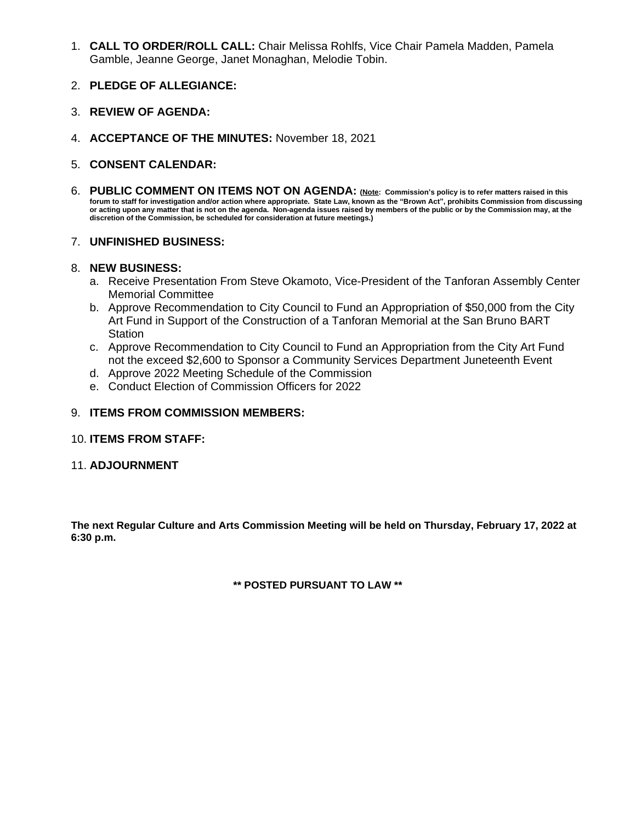- 1. **CALL TO ORDER/ROLL CALL:** Chair Melissa Rohlfs, Vice Chair Pamela Madden, Pamela Gamble, Jeanne George, Janet Monaghan, Melodie Tobin.
- 2. **PLEDGE OF ALLEGIANCE:**
- 3. **REVIEW OF AGENDA:**
- 4. **ACCEPTANCE OF THE MINUTES:** November 18, 2021
- 5. **CONSENT CALENDAR:**
- 6. **PUBLIC COMMENT ON ITEMS NOT ON AGENDA: (Note: Commission's policy is to refer matters raised in this forum to staff for investigation and/or action where appropriate. State Law, known as the "Brown Act", prohibits Commission from discussing or acting upon any matter that is not on the agenda. Non-agenda issues raised by members of the public or by the Commission may, at the discretion of the Commission, be scheduled for consideration at future meetings.)**
- 7. **UNFINISHED BUSINESS:**

#### 8. **NEW BUSINESS:**

- a. Receive Presentation From Steve Okamoto, Vice-President of the Tanforan Assembly Center Memorial Committee
- b. Approve Recommendation to City Council to Fund an Appropriation of \$50,000 from the City Art Fund in Support of the Construction of a Tanforan Memorial at the San Bruno BART **Station**
- c. Approve Recommendation to City Council to Fund an Appropriation from the City Art Fund not the exceed \$2,600 to Sponsor a Community Services Department Juneteenth Event
- d. Approve 2022 Meeting Schedule of the Commission
- e. Conduct Election of Commission Officers for 2022

#### 9. **ITEMS FROM COMMISSION MEMBERS:**

#### 10. **ITEMS FROM STAFF:**

11. **ADJOURNMENT**

**The next Regular Culture and Arts Commission Meeting will be held on Thursday, February 17, 2022 at 6:30 p.m.**

**\*\* POSTED PURSUANT TO LAW \*\***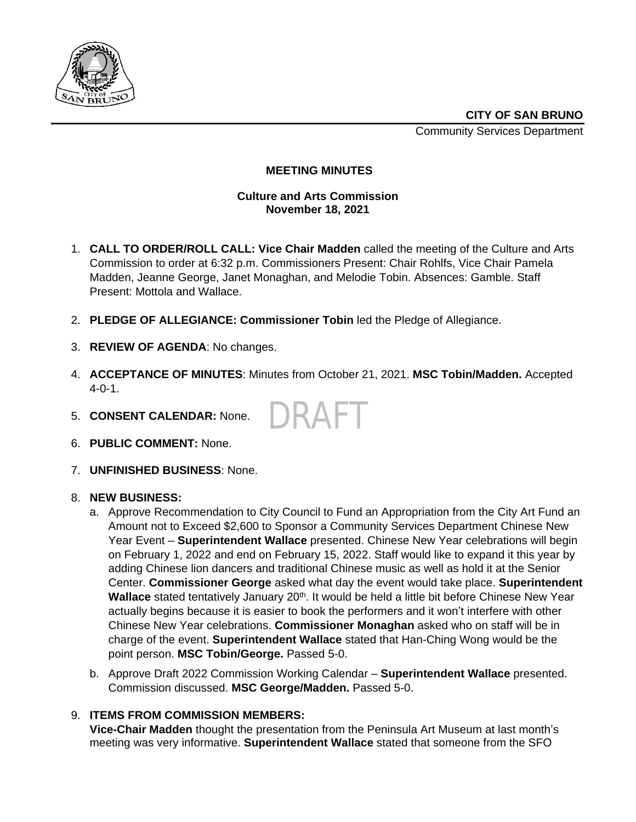



#### **MEETING MINUTES**

#### **Culture and Arts Commission November 18, 2021**

- 1. **CALL TO ORDER/ROLL CALL: Vice Chair Madden** called the meeting of the Culture and Arts Commission to order at 6:32 p.m. Commissioners Present: Chair Rohlfs, Vice Chair Pamela Madden, Jeanne George, Janet Monaghan, and Melodie Tobin. Absences: Gamble. Staff Present: Mottola and Wallace.
- 2. **PLEDGE OF ALLEGIANCE: Commissioner Tobin** led the Pledge of Allegiance.
- 3. **REVIEW OF AGENDA**: No changes.
- 4. **ACCEPTANCE OF MINUTES**: Minutes from October 21, 2021. **MSC Tobin/Madden.** Accepted 4-0-1.

DRAFT

- 5. **CONSENT CALENDAR:** None.
- 6. **PUBLIC COMMENT:** None.
- 7. **UNFINISHED BUSINESS**: None.

#### 8. **NEW BUSINESS:**

- a. Approve Recommendation to City Council to Fund an Appropriation from the City Art Fund an Amount not to Exceed \$2,600 to Sponsor a Community Services Department Chinese New Year Event – **Superintendent Wallace** presented. Chinese New Year celebrations will begin on February 1, 2022 and end on February 15, 2022. Staff would like to expand it this year by adding Chinese lion dancers and traditional Chinese music as well as hold it at the Senior Center. **Commissioner George** asked what day the event would take place. **Superintendent Wallace** stated tentatively January 20<sup>th</sup>. It would be held a little bit before Chinese New Year actually begins because it is easier to book the performers and it won't interfere with other Chinese New Year celebrations. **Commissioner Monaghan** asked who on staff will be in charge of the event. **Superintendent Wallace** stated that Han-Ching Wong would be the point person. **MSC Tobin/George.** Passed 5-0.
- b. Approve Draft 2022 Commission Working Calendar **Superintendent Wallace** presented. Commission discussed. **MSC George/Madden.** Passed 5-0.

#### 9. **ITEMS FROM COMMISSION MEMBERS:**

**Vice-Chair Madden** thought the presentation from the Peninsula Art Museum at last month's meeting was very informative. **Superintendent Wallace** stated that someone from the SFO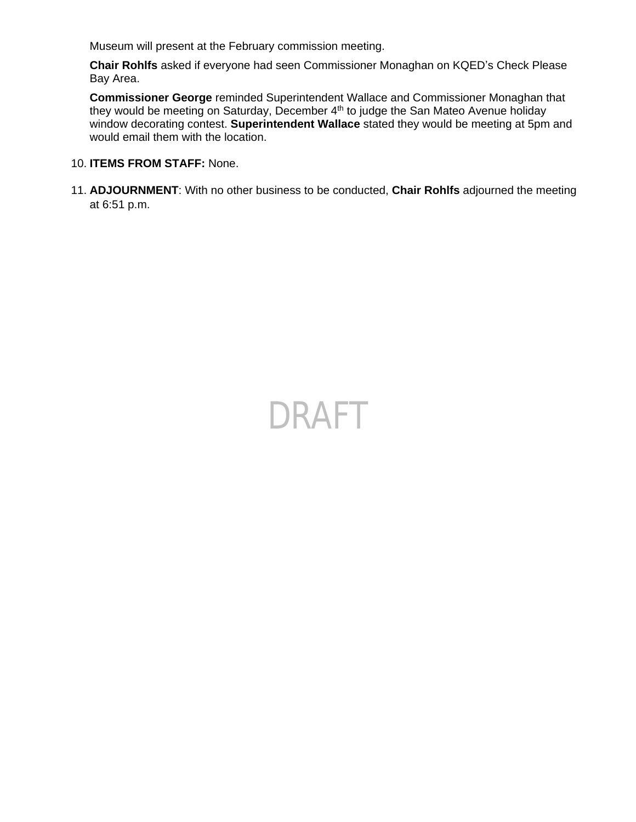Museum will present at the February commission meeting.

**Chair Rohlfs** asked if everyone had seen Commissioner Monaghan on KQED's Check Please Bay Area.

**Commissioner George** reminded Superintendent Wallace and Commissioner Monaghan that they would be meeting on Saturday, December  $4<sup>th</sup>$  to judge the San Mateo Avenue holiday window decorating contest. **Superintendent Wallace** stated they would be meeting at 5pm and would email them with the location.

- 10. **ITEMS FROM STAFF:** None.
- 11. **ADJOURNMENT**: With no other business to be conducted, **Chair Rohlfs** adjourned the meeting at 6:51 p.m.

# DRAFT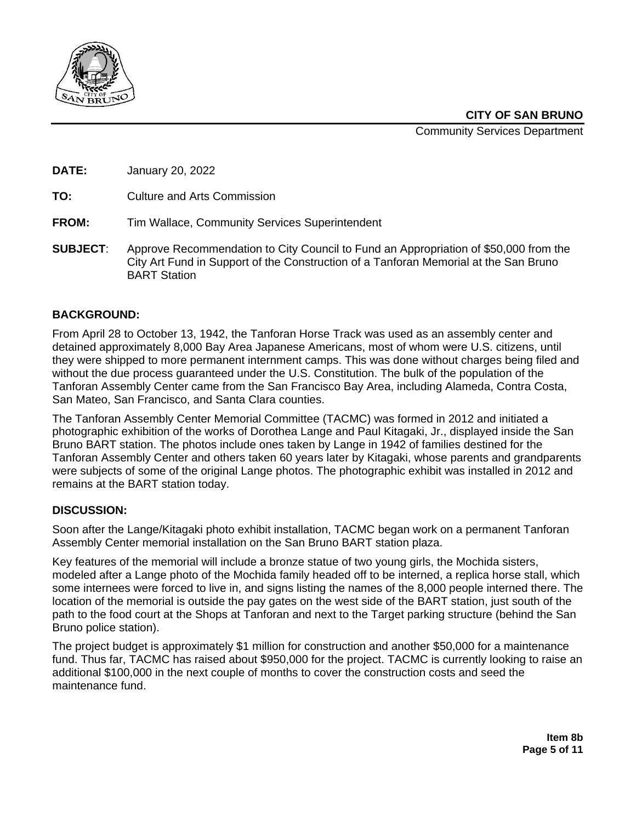

**CITY OF SAN BRUNO** Community Services Department

**DATE:** January 20, 2022

**TO:** Culture and Arts Commission

- **FROM:** Tim Wallace, Community Services Superintendent
- **SUBJECT**: Approve Recommendation to City Council to Fund an Appropriation of \$50,000 from the City Art Fund in Support of the Construction of a Tanforan Memorial at the San Bruno BART Station

#### **BACKGROUND:**

From April 28 to October 13, 1942, the Tanforan Horse Track was used as an assembly center and detained approximately 8,000 Bay Area Japanese Americans, most of whom were U.S. citizens, until they were shipped to more permanent internment camps. This was done without charges being filed and without the due process guaranteed under the U.S. Constitution. The bulk of the population of the Tanforan Assembly Center came from the San Francisco Bay Area, including Alameda, Contra Costa, San Mateo, San Francisco, and Santa Clara counties.

The Tanforan Assembly Center Memorial Committee (TACMC) was formed in 2012 and initiated a photographic exhibition of the works of Dorothea Lange and Paul Kitagaki, Jr., displayed inside the San Bruno BART station. The photos include ones taken by Lange in 1942 of families destined for the Tanforan Assembly Center and others taken 60 years later by Kitagaki, whose parents and grandparents were subjects of some of the original Lange photos. The photographic exhibit was installed in 2012 and remains at the BART station today.

#### **DISCUSSION:**

Soon after the Lange/Kitagaki photo exhibit installation, TACMC began work on a permanent Tanforan Assembly Center memorial installation on the San Bruno BART station plaza.

Key features of the memorial will include a bronze statue of two young girls, the Mochida sisters, modeled after a Lange photo of the Mochida family headed off to be interned, a replica horse stall, which some internees were forced to live in, and signs listing the names of the 8,000 people interned there. The location of the memorial is outside the pay gates on the west side of the BART station, just south of the path to the food court at the Shops at Tanforan and next to the Target parking structure (behind the San Bruno police station).

The project budget is approximately \$1 million for construction and another \$50,000 for a maintenance fund. Thus far, TACMC has raised about \$950,000 for the project. TACMC is currently looking to raise an additional \$100,000 in the next couple of months to cover the construction costs and seed the maintenance fund.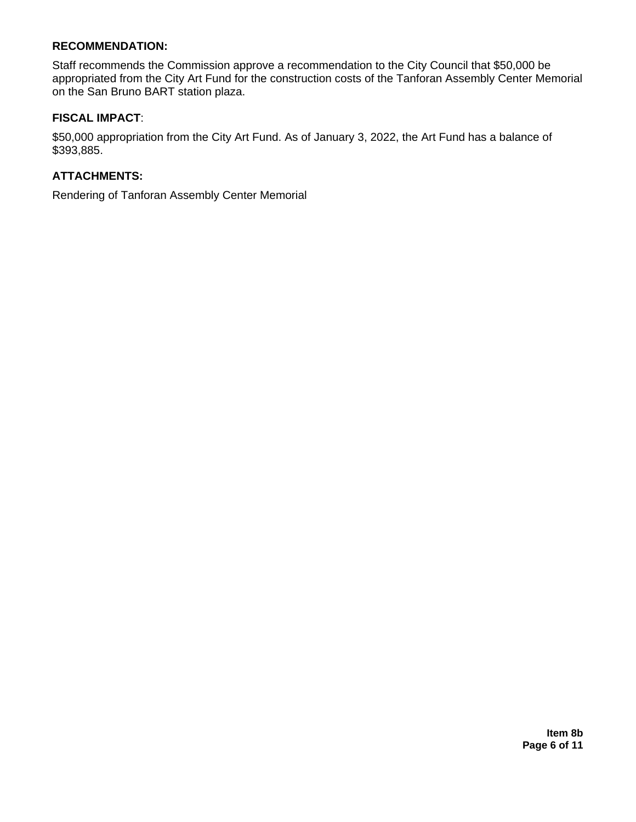#### **RECOMMENDATION:**

Staff recommends the Commission approve a recommendation to the City Council that \$50,000 be appropriated from the City Art Fund for the construction costs of the Tanforan Assembly Center Memorial on the San Bruno BART station plaza.

#### **FISCAL IMPACT**:

\$50,000 appropriation from the City Art Fund. As of January 3, 2022, the Art Fund has a balance of \$393,885.

#### **ATTACHMENTS:**

Rendering of Tanforan Assembly Center Memorial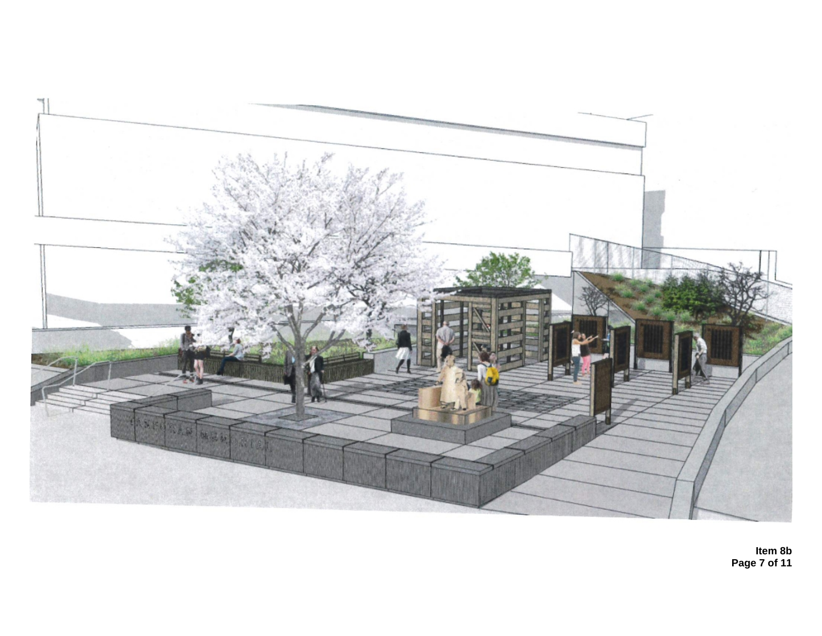

**Item 8b Page 7 of 11**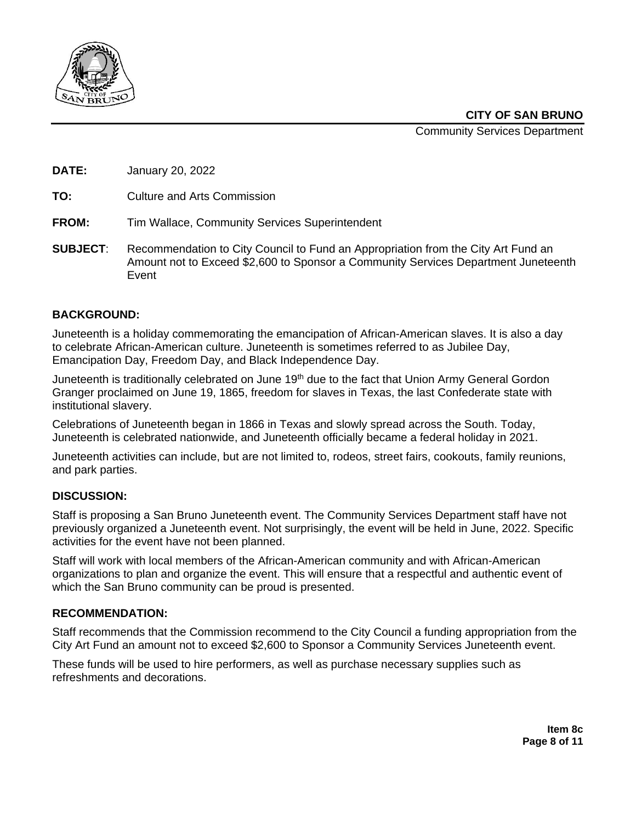

**CITY OF SAN BRUNO** Community Services Department

**DATE:** January 20, 2022

**TO:** Culture and Arts Commission

**FROM:** Tim Wallace, Community Services Superintendent

**SUBJECT:** Recommendation to City Council to Fund an Appropriation from the City Art Fund an Amount not to Exceed \$2,600 to Sponsor a Community Services Department Juneteenth Event

#### **BACKGROUND:**

Juneteenth is a holiday commemorating the emancipation of African-American slaves. It is also a day to celebrate African-American culture. Juneteenth is sometimes referred to as Jubilee Day, Emancipation Day, Freedom Day, and Black Independence Day.

Juneteenth is traditionally celebrated on June 19<sup>th</sup> due to the fact that Union Army General Gordon Granger proclaimed on June 19, 1865, freedom for slaves in Texas, the last Confederate state with institutional slavery.

Celebrations of Juneteenth began in 1866 in Texas and slowly spread across the South. Today, Juneteenth is celebrated nationwide, and Juneteenth officially became a federal holiday in 2021.

Juneteenth activities can include, but are not limited to, rodeos, street fairs, cookouts, family reunions, and park parties.

#### **DISCUSSION:**

Staff is proposing a San Bruno Juneteenth event. The Community Services Department staff have not previously organized a Juneteenth event. Not surprisingly, the event will be held in June, 2022. Specific activities for the event have not been planned.

Staff will work with local members of the African-American community and with African-American organizations to plan and organize the event. This will ensure that a respectful and authentic event of which the San Bruno community can be proud is presented.

#### **RECOMMENDATION:**

Staff recommends that the Commission recommend to the City Council a funding appropriation from the City Art Fund an amount not to exceed \$2,600 to Sponsor a Community Services Juneteenth event.

These funds will be used to hire performers, as well as purchase necessary supplies such as refreshments and decorations.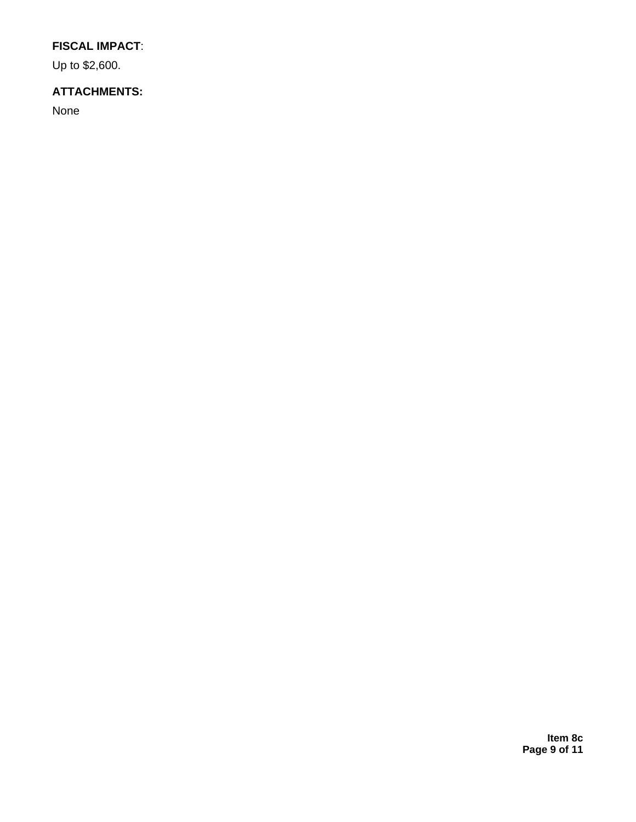## **FISCAL IMPACT**:

Up to \$2,600.

## **ATTACHMENTS:**

None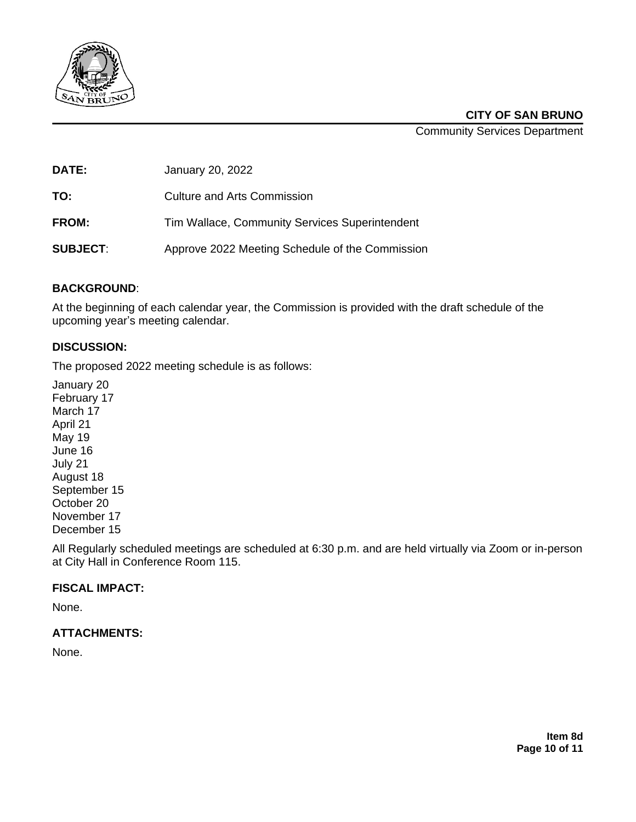

# **CITY OF SAN BRUNO**

Community Services Department

**DATE:** January 20, 2022

**TO:** Culture and Arts Commission

FROM: Tim Wallace, Community Services Superintendent

**SUBJECT**: Approve 2022 Meeting Schedule of the Commission

#### **BACKGROUND**:

At the beginning of each calendar year, the Commission is provided with the draft schedule of the upcoming year's meeting calendar.

#### **DISCUSSION:**

The proposed 2022 meeting schedule is as follows:

January 20 February 17 March 17 April 21 May 19 June 16 July 21 August 18 September 15 October 20 November 17 December 15

All Regularly scheduled meetings are scheduled at 6:30 p.m. and are held virtually via Zoom or in-person at City Hall in Conference Room 115.

#### **FISCAL IMPACT:**

None.

#### **ATTACHMENTS:**

None.

**Item 8d Page 10 of 11**